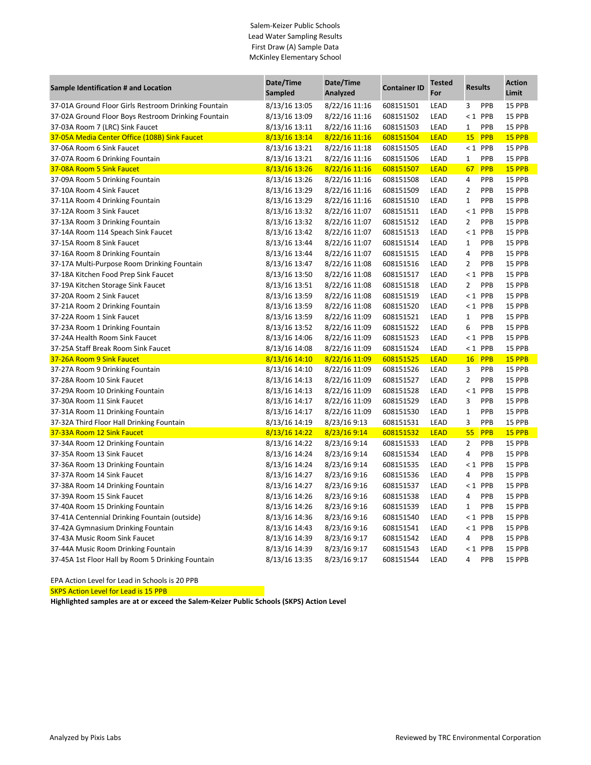## Salem-Keizer Public Schools Lead Water Sampling Results First Draw (A) Sample Data McKinley Elementary School

| Sample Identification # and Location                 | Date/Time<br><b>Sampled</b> | Date/Time<br>Analyzed | <b>Container ID</b> | <b>Tested</b><br>For | <b>Results</b> |            | <b>Action</b><br>Limit |
|------------------------------------------------------|-----------------------------|-----------------------|---------------------|----------------------|----------------|------------|------------------------|
| 37-01A Ground Floor Girls Restroom Drinking Fountain | 8/13/16 13:05               | 8/22/16 11:16         | 608151501           | LEAD                 | 3              | PPB        | 15 PPB                 |
| 37-02A Ground Floor Boys Restroom Drinking Fountain  | 8/13/16 13:09               | 8/22/16 11:16         | 608151502           | LEAD                 |                | $< 1$ PPB  | 15 PPB                 |
| 37-03A Room 7 (LRC) Sink Faucet                      | 8/13/16 13:11               | 8/22/16 11:16         | 608151503           | LEAD                 | $\mathbf{1}$   | PPB        | 15 PPB                 |
| 37-05A Media Center Office (108B) Sink Faucet        | 8/13/16 13:14               | 8/22/16 11:16         | 608151504           | <b>LEAD</b>          | <b>15</b>      | PPB        | 15 PPB                 |
| 37-06A Room 6 Sink Faucet                            | 8/13/16 13:21               | 8/22/16 11:18         | 608151505           | LEAD                 |                | $< 1$ PPB  | 15 PPB                 |
| 37-07A Room 6 Drinking Fountain                      | 8/13/16 13:21               | 8/22/16 11:16         | 608151506           | LEAD                 | $\mathbf{1}$   | PPB        | 15 PPB                 |
| 37-08A Room 5 Sink Faucet                            | 8/13/16 13:26               | 8/22/16 11:16         | 608151507           | <b>LEAD</b>          | 67             | <b>PPB</b> | 15 PPB                 |
| 37-09A Room 5 Drinking Fountain                      | 8/13/16 13:26               | 8/22/16 11:16         | 608151508           | LEAD                 | 4              | PPB        | 15 PPB                 |
| 37-10A Room 4 Sink Faucet                            | 8/13/16 13:29               | 8/22/16 11:16         | 608151509           | LEAD                 | 2              | PPB        | 15 PPB                 |
| 37-11A Room 4 Drinking Fountain                      | 8/13/16 13:29               | 8/22/16 11:16         | 608151510           | LEAD                 | $\mathbf{1}$   | PPB        | 15 PPB                 |
| 37-12A Room 3 Sink Faucet                            | 8/13/16 13:32               | 8/22/16 11:07         | 608151511           | LEAD                 |                | $< 1$ PPB  | 15 PPB                 |
| 37-13A Room 3 Drinking Fountain                      | 8/13/16 13:32               | 8/22/16 11:07         | 608151512           | LEAD                 | $\overline{2}$ | PPB        | 15 PPB                 |
| 37-14A Room 114 Speach Sink Faucet                   | 8/13/16 13:42               | 8/22/16 11:07         | 608151513           | LEAD                 |                | $< 1$ PPB  | 15 PPB                 |
| 37-15A Room 8 Sink Faucet                            | 8/13/16 13:44               | 8/22/16 11:07         | 608151514           | LEAD                 | $\mathbf{1}$   | PPB        | 15 PPB                 |
| 37-16A Room 8 Drinking Fountain                      | 8/13/16 13:44               | 8/22/16 11:07         | 608151515           | LEAD                 | 4              | PPB        | 15 PPB                 |
| 37-17A Multi-Purpose Room Drinking Fountain          | 8/13/16 13:47               | 8/22/16 11:08         | 608151516           | LEAD                 | $\overline{2}$ | PPB        | 15 PPB                 |
| 37-18A Kitchen Food Prep Sink Faucet                 | 8/13/16 13:50               | 8/22/16 11:08         | 608151517           | LEAD                 |                | $< 1$ PPB  | 15 PPB                 |
| 37-19A Kitchen Storage Sink Faucet                   | 8/13/16 13:51               | 8/22/16 11:08         | 608151518           | LEAD                 | $\overline{2}$ | PPB        | 15 PPB                 |
| 37-20A Room 2 Sink Faucet                            | 8/13/16 13:59               | 8/22/16 11:08         | 608151519           | LEAD                 |                | $< 1$ PPB  | 15 PPB                 |
| 37-21A Room 2 Drinking Fountain                      | 8/13/16 13:59               | 8/22/16 11:08         | 608151520           | LEAD                 |                | $< 1$ PPB  | 15 PPB                 |
| 37-22A Room 1 Sink Faucet                            | 8/13/16 13:59               | 8/22/16 11:09         | 608151521           | LEAD                 | $\mathbf{1}$   | PPB        | 15 PPB                 |
| 37-23A Room 1 Drinking Fountain                      | 8/13/16 13:52               | 8/22/16 11:09         | 608151522           | LEAD                 | 6              | PPB        | 15 PPB                 |
| 37-24A Health Room Sink Faucet                       | 8/13/16 14:06               | 8/22/16 11:09         | 608151523           | LEAD                 |                | $< 1$ PPB  | 15 PPB                 |
| 37-25A Staff Break Room Sink Faucet                  | 8/13/16 14:08               | 8/22/16 11:09         | 608151524           | LEAD                 |                | $< 1$ PPB  | 15 PPB                 |
| 37-26A Room 9 Sink Faucet                            | 8/13/16 14:10               | 8/22/16 11:09         | 608151525           | <b>LEAD</b>          | 16             | <b>PPB</b> | 15 PPB                 |
| 37-27A Room 9 Drinking Fountain                      | 8/13/16 14:10               | 8/22/16 11:09         | 608151526           | LEAD                 | 3              | PPB        | 15 PPB                 |
| 37-28A Room 10 Sink Faucet                           | 8/13/16 14:13               | 8/22/16 11:09         | 608151527           | LEAD                 | $\overline{2}$ | PPB        | 15 PPB                 |
| 37-29A Room 10 Drinking Fountain                     | 8/13/16 14:13               | 8/22/16 11:09         | 608151528           | LEAD                 |                | $< 1$ PPB  | 15 PPB                 |
| 37-30A Room 11 Sink Faucet                           | 8/13/16 14:17               | 8/22/16 11:09         | 608151529           | LEAD                 | 3              | PPB        | 15 PPB                 |
| 37-31A Room 11 Drinking Fountain                     | 8/13/16 14:17               | 8/22/16 11:09         | 608151530           | LEAD                 | $\mathbf{1}$   | PPB        | 15 PPB                 |
| 37-32A Third Floor Hall Drinking Fountain            | 8/13/16 14:19               | 8/23/16 9:13          | 608151531           | LEAD                 | 3              | PPB        | 15 PPB                 |
| 37-33A Room 12 Sink Faucet                           | 8/13/16 14:22               | 8/23/16 9:14          | 608151532           | <b>LEAD</b>          | 55             | PPB        | 15 PPB                 |
| 37-34A Room 12 Drinking Fountain                     | 8/13/16 14:22               | 8/23/16 9:14          | 608151533           | LEAD                 | 2              | PPB        | 15 PPB                 |
| 37-35A Room 13 Sink Faucet                           | 8/13/16 14:24               | 8/23/16 9:14          | 608151534           | LEAD                 | 4              | PPB        | 15 PPB                 |
| 37-36A Room 13 Drinking Fountain                     | 8/13/16 14:24               | 8/23/16 9:14          | 608151535           | LEAD                 |                | $< 1$ PPB  | 15 PPB                 |
| 37-37A Room 14 Sink Faucet                           | 8/13/16 14:27               | 8/23/16 9:16          | 608151536           | LEAD                 | 4              | PPB        | 15 PPB                 |
| 37-38A Room 14 Drinking Fountain                     | 8/13/16 14:27               | 8/23/16 9:16          | 608151537           | LEAD                 |                | $< 1$ PPB  | 15 PPB                 |
| 37-39A Room 15 Sink Faucet                           | 8/13/16 14:26               | 8/23/16 9:16          | 608151538           | LEAD                 | 4              | PPB        | 15 PPB                 |
| 37-40A Room 15 Drinking Fountain                     | 8/13/16 14:26               | 8/23/16 9:16          | 608151539           | LEAD                 | $\mathbf{1}$   | PPB        | 15 PPB                 |
| 37-41A Centennial Drinking Fountain (outside)        | 8/13/16 14:36               | 8/23/16 9:16          | 608151540           | LEAD                 |                | $1$ PPB    | 15 PPB                 |
| 37-42A Gymnasium Drinking Fountain                   | 8/13/16 14:43               | 8/23/16 9:16          | 608151541           | LEAD                 |                | $< 1$ PPB  | 15 PPB                 |
| 37-43A Music Room Sink Faucet                        | 8/13/16 14:39               | 8/23/16 9:17          | 608151542           | LEAD                 | 4              | PPB        | 15 PPB                 |
| 37-44A Music Room Drinking Fountain                  | 8/13/16 14:39               | 8/23/16 9:17          | 608151543           | LEAD                 |                | $< 1$ PPB  | 15 PPB                 |
| 37-45A 1st Floor Hall by Room 5 Drinking Fountain    | 8/13/16 13:35               | 8/23/16 9:17          | 608151544           | LEAD                 | 4              | PPB        | 15 PPB                 |

EPA Action Level for Lead in Schools is 20 PPB

**SKPS Action Level for Lead is 15 PPB**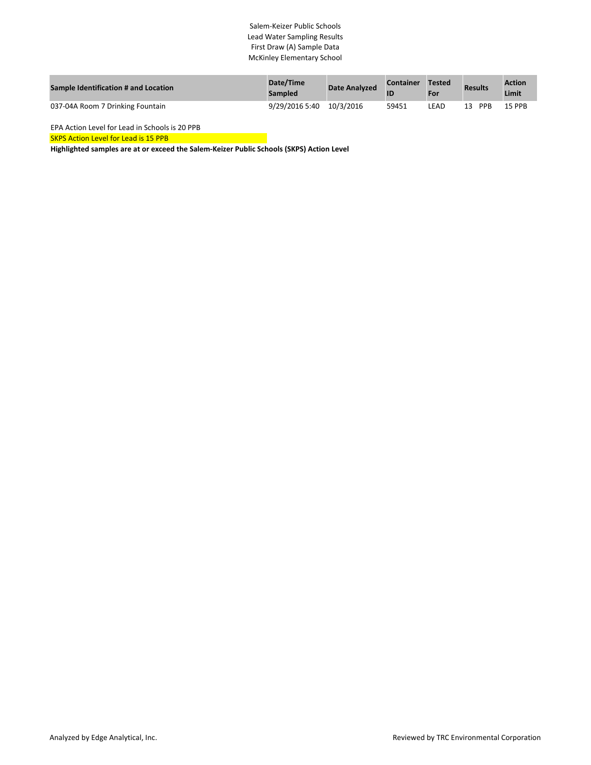## Salem-Keizer Public Schools Lead Water Sampling Results First Draw (A) Sample Data McKinley Elementary School

| <b>Sample Identification # and Location</b> | Date/Time<br><b>Sampled</b> | <b>Date Analyzed</b> | <b>Container</b> | Tested<br>For | <b>Results</b> | <b>Action</b><br>Limit |
|---------------------------------------------|-----------------------------|----------------------|------------------|---------------|----------------|------------------------|
| 037-04A Room 7 Drinking Fountain            | 9/29/2016 5:40              | 10/3/2016            | 59451            | LEAD          | PPB<br>13      | <b>15 PPB</b>          |

EPA Action Level for Lead in Schools is 20 PPB

SKPS Action Level for Lead is 15 PPB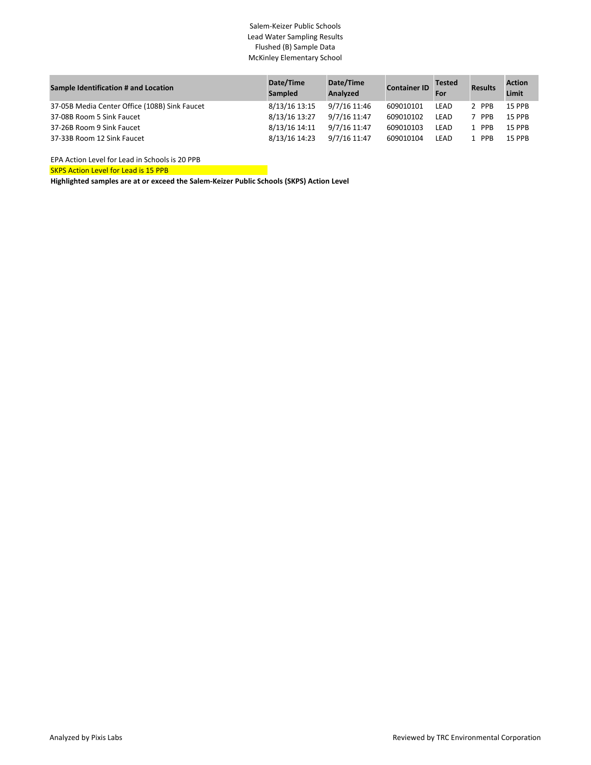## Salem-Keizer Public Schools Lead Water Sampling Results Flushed (B) Sample Data McKinley Elementary School

| Sample Identification # and Location          | Date/Time<br><b>Sampled</b> | Date/Time<br>Analyzed | <b>Container ID</b> | <b>Tested</b><br>For | <b>Results</b> | <b>Action</b><br>Limit |
|-----------------------------------------------|-----------------------------|-----------------------|---------------------|----------------------|----------------|------------------------|
| 37-05B Media Center Office (108B) Sink Faucet | 8/13/16 13:15               | 9/7/16 11:46          | 609010101           | LEAD                 | 2 PPB          | <b>15 PPB</b>          |
| 37-08B Room 5 Sink Faucet                     | 8/13/16 13:27               | 9/7/16 11:47          | 609010102           | <b>LEAD</b>          | 7 PPB          | <b>15 PPB</b>          |
| 37-26B Room 9 Sink Faucet                     | 8/13/16 14:11               | 9/7/16 11:47          | 609010103           | LEAD                 | 1 PPB          | <b>15 PPB</b>          |
| 37-33B Room 12 Sink Faucet                    | 8/13/16 14:23               | 9/7/16 11:47          | 609010104           | LEAD                 | 1 PPB          | <b>15 PPB</b>          |

EPA Action Level for Lead in Schools is 20 PPB

**SKPS Action Level for Lead is 15 PPB**